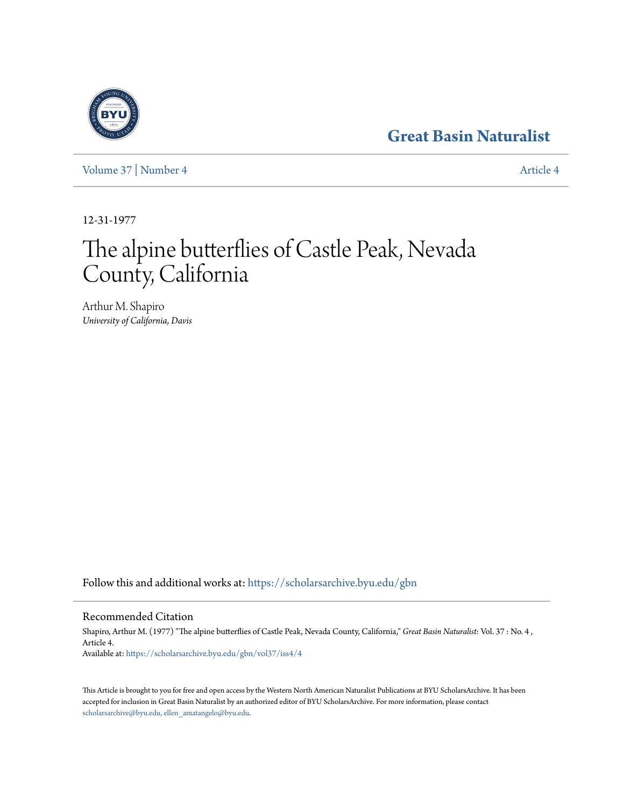# **[Great Basin Naturalist](https://scholarsarchive.byu.edu/gbn?utm_source=scholarsarchive.byu.edu%2Fgbn%2Fvol37%2Fiss4%2F4&utm_medium=PDF&utm_campaign=PDFCoverPages)**

[Volume 37](https://scholarsarchive.byu.edu/gbn/vol37?utm_source=scholarsarchive.byu.edu%2Fgbn%2Fvol37%2Fiss4%2F4&utm_medium=PDF&utm_campaign=PDFCoverPages) | [Number 4](https://scholarsarchive.byu.edu/gbn/vol37/iss4?utm_source=scholarsarchive.byu.edu%2Fgbn%2Fvol37%2Fiss4%2F4&utm_medium=PDF&utm_campaign=PDFCoverPages) [Article 4](https://scholarsarchive.byu.edu/gbn/vol37/iss4/4?utm_source=scholarsarchive.byu.edu%2Fgbn%2Fvol37%2Fiss4%2F4&utm_medium=PDF&utm_campaign=PDFCoverPages)

12-31-1977

# The alpine butterflies of Castle Peak, Nevada County, California

Arthur M. Shapiro *University of California, Davis*

Follow this and additional works at: [https://scholarsarchive.byu.edu/gbn](https://scholarsarchive.byu.edu/gbn?utm_source=scholarsarchive.byu.edu%2Fgbn%2Fvol37%2Fiss4%2F4&utm_medium=PDF&utm_campaign=PDFCoverPages)

Recommended Citation

Shapiro, Arthur M. (1977) "The alpine butterflies of Castle Peak, Nevada County, California," *Great Basin Naturalist*: Vol. 37 : No. 4 , Article 4. Available at: [https://scholarsarchive.byu.edu/gbn/vol37/iss4/4](https://scholarsarchive.byu.edu/gbn/vol37/iss4/4?utm_source=scholarsarchive.byu.edu%2Fgbn%2Fvol37%2Fiss4%2F4&utm_medium=PDF&utm_campaign=PDFCoverPages)

This Article is brought to you for free and open access by the Western North American Naturalist Publications at BYU ScholarsArchive. It has been accepted for inclusion in Great Basin Naturalist by an authorized editor of BYU ScholarsArchive. For more information, please contact [scholarsarchive@byu.edu, ellen\\_amatangelo@byu.edu.](mailto:scholarsarchive@byu.edu,%20ellen_amatangelo@byu.edu)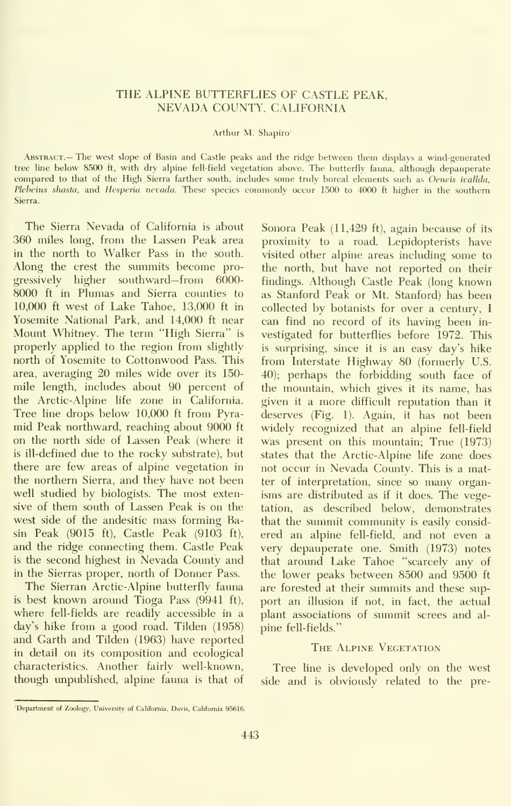# THE ALPINE BUTTERFLIES OF CASTLE PEAK, NEVADA COUNTY, CALIFORNIA

#### Arthur M. Shapiro'

ABSTRACT.— The west slope of Basin and Castle peaks and the ridge between them displays a wind-generated tree line below 8500 ft,with dry alpine fell-field vegetation above. The butterfly fauna, although depauperate compared to that of the High Sierra farther south, includes some truly boreal elements such as Oeneis ivallda, Plebeius shasta, and Hesperia nevada. These species commonly occur 1500 to 4000 ft higher in the southern Sierra.

The Sierra Nevada of California is about 360 miles long, from the Lassen Peak area in the north to Walker Pass in the south. Along the crest the summits become progressively higher southward—from 6000- 8000 ft in Plumas and Sierra counties to 10,000 ft west of Lake Tahoe, 13,000 ft in Yosemite National Park, and 14,000 ft near Mount Whitney. The term "High Sierra" is properly applied to the region from slightly north of Yosemite to Cottonwood Pass. This area, averaging 20 miles wide over its 150 mile length, includes about 90 percent of the Arctic-Alpine life zone in California. Tree line drops below 10,000 ft from Pyra mid Peak northward, reaching about 9000 ft on the north side of Lassen Peak (where it is ill-defined due to the rocky substrate), but there are few areas of alpine vegetation in the northern Sierra, and they have not been well studied by biologists. The most extensive of them south of Lassen Peak is on the west side of the andesitic mass forming Basin Peak (9015 ft). Castle Peak (9103 ft), and the ridge connecting them. Castle Peak is the second highest in Nevada County and in the Sierras proper, north of Donner Pass.

The Sierran Arctic-Alpine butterfly fauna is best known around Tioga Pass (9941 ft), where fell-fields are readily accessible in a day's hike from a good road. Tilden (1958) and Garth and Tilden (1963) have reported in detail on its composition and ecological characteristics. Another fairly well-known, though unpublished, alpine fauna is that of

Sonora Peak (11,429 ft), again because of its proximity to a road. Lepidopterists have visited other alpine areas including some to the north, but have not reported on their findings. Although Castle Peak (long known as Stanford Peak or Mt. Stanford) has been collected by botanists for over a century, <sup>I</sup>can find no record of its having been in vestigated for butterflies before 1972. This is surprising, since it is an easy day's hike from Interstate Highway 80 (formerly U.S. 40); perhaps the forbidding south face of the mountain, which gives it its name, has given it a more difficult reputation than it deserves (Fig. 1). Again, it has not been widely recognized that an alpine fell-field was present on this mountain; True (1973) states that the Arctic-Alpine life zone does not occur in Nevada County. This is a matter of interpretation, since so many organisms are distributed as if it does. The vegetation, as described below, demonstrates that the summit community is easily consid ered an alpine fell-field, and not even a very depauperate one. Smith (1973) notes that around Lake Tahoe "scarcely any of the lower peaks between 8500 and 9500 ft are forested at their summits and these sup port an illusion if not, in fact, the actual plant associations of summit screes and al pine fell-fields."

#### THE ALPINE VEGETATION

Tree line is developed only on the west side and is obviously related to the pre-

<sup>&#</sup>x27;Department of Zoology, University of California, Davis, California 95616.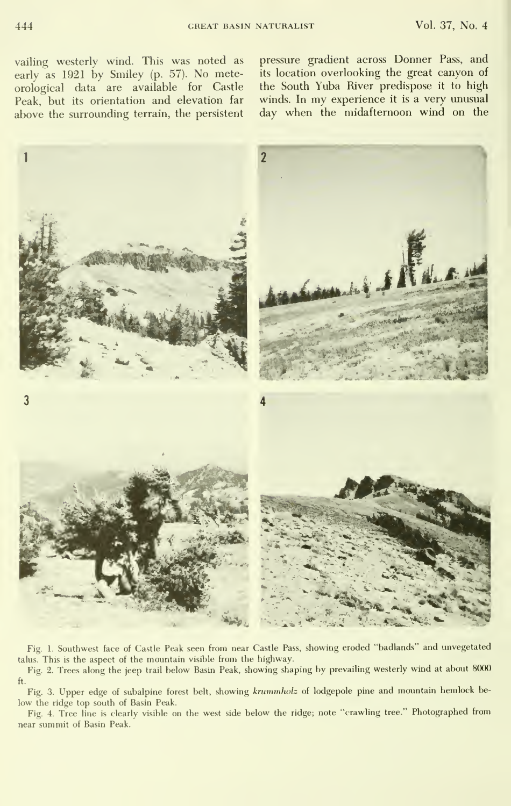vailing westerly wind. This was noted as early as 1921 by Smiley (p. 57). No meteorological data are available for Castle Peak, but its orientation and elevation far above the surrounding terrain, the persistent

pressure gradient across Donner Pass, and its location overlooking the great canyon of the South Yuba River predispose it to high winds. In my experience it is a very unusual day when the midaftemoon wind on the



Fig. 1. Southwest face of Castle Peak seen from near Castle Pass, showing eroded "badlands" and unvegetated talus. This is the aspect of the mountain visible from the highway.

Fig. 2. Trees along the jeep trail below Basin Peak, showing shaping by prevailing westerly wind at about 8000 ft.

Fig. 3. Upper edge of subalpine forest belt, showing krummholz of lodgepole pine and mountain hemlock below the ridge top south of Basin Peak.

Fig. 4. Tree line is clearly visible on the west side below the ridge; note "crawling tree." Photographed from near summit of Basin Peak.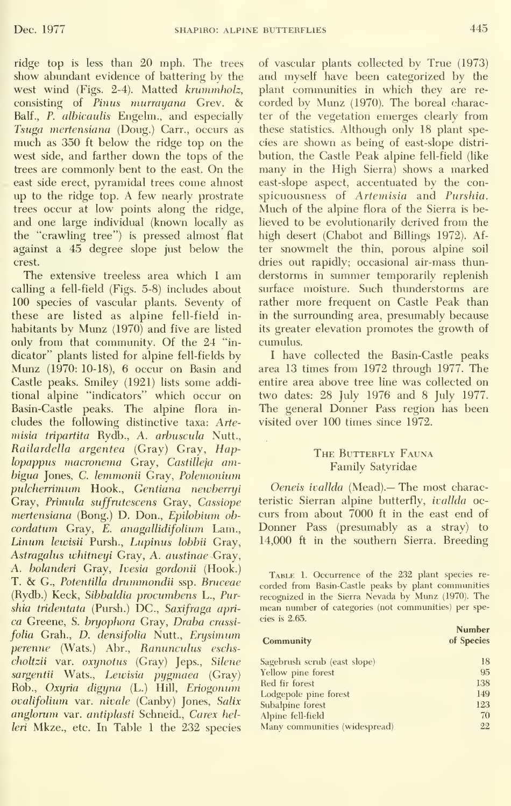ridge top is less than 20 mph. The trees show abundant evidence of battering by the west wind (Figs. 2-4). Matted krwnmholz, consisting of Pinus murrayana Grev. & Balf., P. albicaulis Engelm., and especially Tsuga mertensiana (Doug.) Carr., occurs as much as 350 ft below the ridge top on the west side, and farther down the tops of the trees are commonly bent to the east. On the east side erect, pyramidal trees come almost up to the ridge top. A few nearly prostrate trees occur at low points along the ridge, and one large individual (known locally as the "crawling tree") is pressed almost flat against a 45 degree slope just below the crest.

The extensive treeless area which <sup>I</sup> am calling a fell-field (Figs. 5-8) includes about 100 species of vascular plants. Seventy of these are listed as alpine fell-field in habitants by Munz (1970) and five are listed only from that community. Of the 24 "in dicator" plants listed for alpine fell-fields by Mimz (1970: 10-18), 6 occur on Basin and Castle peaks. Smiley (1921) lists some additional alpine "indicators" which occur on Basin-Castle peaks. The alpine flora in cludes the following distinctive taxa: Arte misia tripartita Rydb., A. arbuscula Nutt., Railardella argentea (Gray) Gray, Haplopappus macronenia Gray, Castilleja ambigua Jones, C. lemmonii Gray, Polemonium pulcherrimimi Hook., Gentiana newberryi Gray, Primula suffrutescens Gray, Cassiope mertensiana (Bong.) D. Don., Epilobium oh cordatum Gray, E. anagallidifolium Lam., Linum lewisii Pursh., Lupinus lohbii Gray, Astragalus whitneyi Gray, A. austinae Gray, A. bolanderi Gray, Ivesia gordonii (Hook.) T. & G., Potentilla drummondii ssp. Bruceae (Rydb.) Keck, Sibbaldia procumbens L., Purshia tridentata (Pursh.) DC, Saxifraga apri ca Greene, S. bryophora Gray, Draba crassi folia Grah., D. densifolia Nutt., Erysimum perenne (Wats.) Abr., Ranunculus eschscholtzii var. oxynotus (Gray) Jeps., Silene sargentii Wats., Lewisia pygmaea (Gray) Rob., Oxyria digyna (L.) Hill, Eriogonum ovalifolium var. nivale (Canby) Jones, Salix anglorum var. antiplasti Schneid., Carex helleri Mkze., etc. In Table <sup>1</sup> the 232 species

of vascular plants collected by True (1973) and myself have been categorized by the plant communities in which they are re corded by Munz (1970). The boreal character of the vegetation emerges clearly from these statistics. Although only 18 plant species are shown as being of east-slope distri bution, the Castle Peak alpine fell-field (like many in the High Sierra) shows a marked east-slope aspect, accentuated by the con spicuousness of Artemisia and Purshia. Much of the alpine flora of the Sierra is believed to be evolutionarily derived from the high desert (Chabot and Billings 1972). After snowmelt the thin, porous alpine soil dries out rapidly; occasional air-mass thun derstorms in summer temporarily replenish surface moisture. Such thunderstorms are rather more frequent on Castle Peak than in the surrounding area, presumably because its greater elevation promotes the growth of cumulus.

<sup>I</sup> have collected the Basin-Castle peaks area 13 times from 1972 through 1977. The entire area above tree line was collected on two dates: 28 July 1976 and 8 July 1977. The general Donner Pass region has been visited over 100 times since 1972.

### THE BUTTERFLY FAUNA Family Satyridae

Oeneis ivallda (Mead).— The most characteristic Sierran alpine butterfly, *ivallda* occurs from about 7000 ft in the east end of Donner Pass (presumably as a stray) to 14,000 ft in the southern Sierra. Breeding

Table L Occurrence of the 232 plant species re corded from Basin-Castle peaks by plant communities recognized in the Sierra Nevada by Munz (1970). The mean number of categories (not communities) per species is 2.65.

Number

| Community                     | of Species |
|-------------------------------|------------|
| Sagebrush scrub (east slope)  | 18         |
| Yellow pine forest            | 95         |
| Red fir forest                | 138        |
| Lodgepole pine forest         | 149        |
| Subalpine forest              | 123        |
| Alpine fell-field             | 70         |
| Many communities (widespread) | 22         |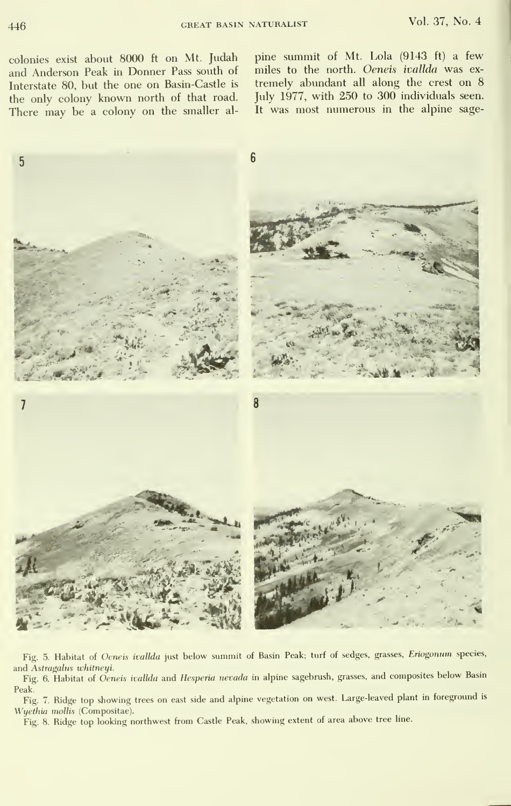colonies exist about 8000 ft on Mt. Judah and Anderson Peak in Donner Pass south of Interstate 80, but the one on Basin-Castle is the only colony known north of that road. There may be a colony on the smaller alpine summit of Mt. Lola (9143 ft) a few miles to the north. Oeneis ivallda was ex tremely abundant all along the crest on 8 July 1977, with 250 to 300 individuals seen. It was most numerous in the alpine sage-



Fig. 5. Habitat of Oeneis ivallda just below summit of Basin Peak; turf of sedges, grasses, Eriogonum species, and Astragalus whitneyi.

Fig. 6. Habitat of *Oeneis ivallda* and *Hesperia nevada* in alpine sagebrush, grasses, and composites below Basin

Peak. Fig. 7. Ridge top showing trees on east side and alpine vegetation on west. Large-leaved plant m foreground is Wyethia mollis (Compositae).

Fig. 8. Ridge top looking northwest from Castle Peak, showing extent of area above tree line.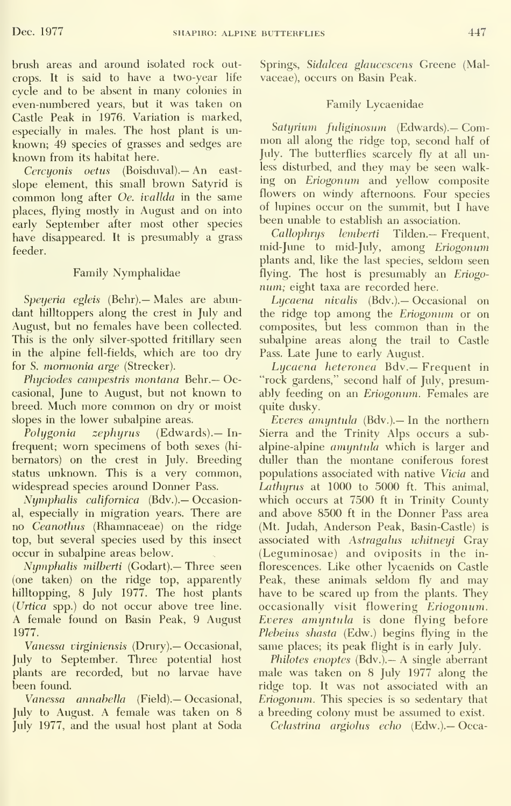brush areas and around isolated rock outcrops. It is said to have a two-year Hfe cycle and to be absent in many colonies in even-numbered years, but it was taken on Castle Peak in 1976. Variation is marked, especially in males. The host plant is un known; 49 species of grasses and sedges are known from its habitat here.

Cercuonis oetus (Boisduval).— An eastslope element, this small brown Satyrid is common long after Oe. ivallda in the same places, flying mostly in August and on into early September after most other species have disappeared. It is presumably a grass feeder.

# Family Nymphalidae

Speyeria egleis (Behr). — Males are abundant hilltoppers along the crest in July and August, but no females have been collected. This is the only silver-spotted fritillary seen in the alpine fell-fields, which are too dry for S. mormonia arge (Strecker).

Phyciodes campestris montana Behr.— Occasional, June to August, but not known to breed. Much more common on dry or moist slopes in the lower subalpine areas.

 $Polygonia$  zephyrus (Edwards). Infrequent; worn specimens of both sexes (hi bernators) on the crest in July. Breeding status unknown. This is a very common, widespread species around Donner Pass.

Nymphalis californica (Bdv.).— Occasional, especially in migration years. There are no Ceanothus (Rhamnaceae) on the ridge top, but several species used by this insect occur in subalpine areas below.

Nymphalis milberti (Godart).— Three seen (one taken) on the ridge top, apparently hilltopping, 8 July 1977. The host plants {Urtica spp.) do not occur above tree line. A female found on Basin Peak, 9 August 1977.

Vanessa virginiensis (Dniry).— Occasional, July to September. Three potential host plants are recorded, but no larvae have been found.

Vanessa annabella (Field).— Occasional, July to August. A female was taken on 8 July 1977, and the usual host plant at Soda Springs, Sidalcea glaucescens Greene (Malvaceae), occurs on Basin Peak.

# Family Lycaenidae

Satyrium fuliginosum (Edwards). Common all along the ridge top, second half of July. The butterflies scarcely fly at all unless disturbed, and they may be seen walking on Eriogonum and yellow composite flowers on windy afternoons. Four species of lupines occur on the summit, but <sup>I</sup> have been unable to establish an association.

Callophrys lemberti Tilden.— Frequent, mid-June to mid-July, among Eriogonum plants and, like the last species, seldom seen flying. The host is presumably an Eriogonum; eight taxa are recorded here.

Lycaena nivalis (Bdv.).— Occasional on the ridge top among the Eriogonum or on composites, but less common than in the subalpine areas along the trail to Castle Pass. Late June to early August.

Lycaena heteronea Bdv.— Frequent in "rock gardens," second half of July, presumably feeding on an Eriogonum. Females are quite dusky.

Everes amyntula (Bdv.).— In the northern Sierra and the Trinity Alps occurs a sub alpine-alpine amyntula which is larger and duller than the montane coniferous forest populations associated with native Vicia and Lathyrus at 1000 to 5000 ft. This animal, which occurs at 7500 ft in Trinity County and above 8500 ft in the Donner Pass area (Mt. Judah, Anderson Peak, Basin-Castle) is associated with Astragalus whitneyi Gray (Leguminosae) and oviposits in the in florescences. Like other lycaenids on Castle Peak, these animals seldom fly and may have to be scared up from the plants. They occasionally visit flowering Eriogonum. Everes amyntula is done flying before Plebeius shasta (Edw.) begins flying in the same places; its peak flight is in early July.

Philotes enoptes (Bdv.).— A single aberrant male was taken on 8 July 1977 along the ridge top. It was not associated with an Eriogonum. This species is so sedentary that a breeding colony must be assumed to exist.

Celastrina argiolus echo (Edw.).— Occa-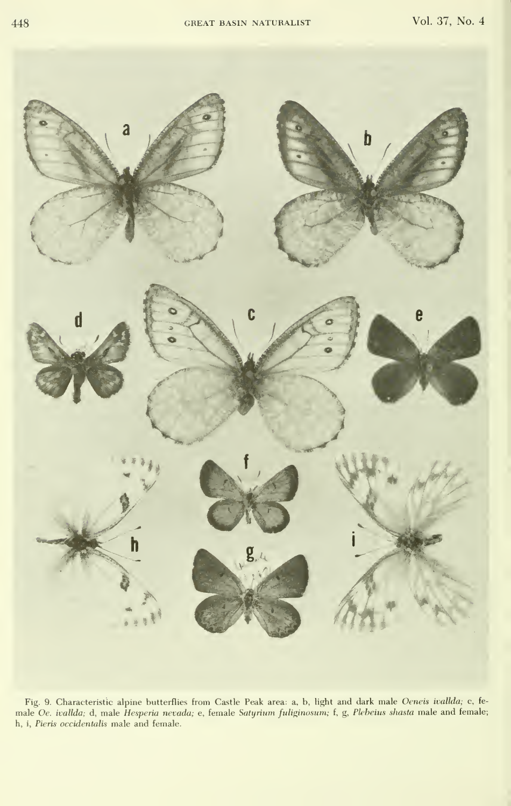

- Fig. 9. Characteristic alpine butterflies from Castle Peak area: a, b, light and dark male *Oeneis ivallda;* c, fe<br>male *Oe. ivallda;* d, male *Hesperia nevada;* e, female S*atyrium fuliginosum;* f, g, *Plebeius shasta* h, i, Pieris occidentalis male and female.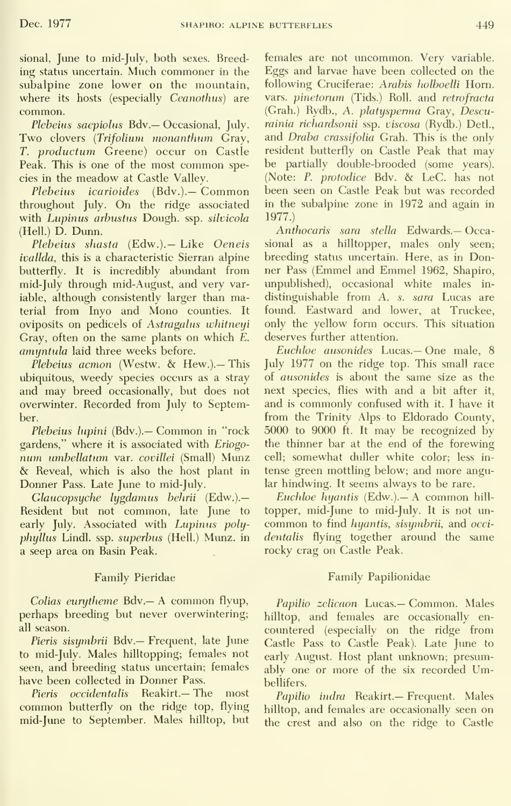sional, June to mid-July, both sexes. Breeding status uncertain. Much commoner in the subalpine zone lower on the mountain, where its hosts (especially Ceanothus) are common.

Plebeius saepiolus Bdv.— Occasional, July. Two clovers {Trifolium monanthum Gray, T. productum Greene) occur on Castle Peak. This is one of the most common species in the meadow at Castle Valley.

Plebeius icarioides (Bdv.).— Common throughout July. On the ridge associated with Lupinus arbustus Dough, ssp. silvicola (Hell.) D. Dunn.

Plebeius shasta (Edw.).— Like Oeneis ivallda, this is a characteristic Sierran alpine butterfly. It is incredibly abundant from mid-July through mid-August, and very variable, although consistently larger than material from Inyo and Mono counties. It oviposits on pedicels of Astragalus whitneyi Gray, often on the same plants on which E. amyntula laid three weeks before.

Plebeius acmon (Westw. & Hew.).— This ubiquitous, weedy species occurs as a stray and may breed occasionally, but does not overwinter. Recorded from July to September.

Plebeius lupini (Bdv.).— Common in "rock gardens," where it is associated with Eriogo num umbellatum var. covillei (Small) Munz & Reveal, which is also the host plant in Donner Pass. Late June to mid-July.

Glaucopsyche lygdamus behrii (Edw.).— Resident but not common, late June to early July. Associated with Lupinus polyphyllus Lindl. ssp. superbus (Hell.) Munz. in a seep area on Basin Peak.

#### Family Pieridae

Colias eurytheme Bdv.— A common flyup, perhaps breeding but never overwintering; all season.

Pieris sisymbrii Bdv.— Frequent, late June to mid-July. Males hilltopping; females not seen, and breeding status uncertain; females have been collected in Donner Pass.

Pieris occidentalis Reakirt.— The most common butterfly on the ridge top, flying mid-June to September. Males hilltop, but

females are not uncommon. Very variable. Eggs and larvae have been collected on the following Cruciferae: Arabis holboelli Horn. vars. pinetorum (Tids.) Roll. and retrofracta (Grah.) Rydb., A. platysperma Gray, Descurainiu richardsonii ssp. viscosa (Rydb.) Detl., and Draba crassifolia Grah. This is the only resident butterfly on Castle Peak that may be partially double-brooded (some years). (Note: P. protodice Bdv. & LeC. has not been seen on Castle Peak but was recorded in the subalpine zone in 1972 and again in 1977.)

Anthocaris sara stella Edwards.- Occasional as a hilltopper, males only seen; breeding status uncertain. Here, as in Donner Pass (Emmel and Emmel 1962, Shapiro, unpublished), occasional white males in distinguishable from A. s. sara Lucas are found. Eastward and lower, at Truckee, only the yellow form occurs. This situation deserves further attention.

Euchloe ausonides Lucas.— One male, 8 July 1977 on the ridge top. This small race of ausonides is about the same size as the next species, flies with and a bit after it, and is commonly confused with it. I have it from the Trinity Alps to Eldorado County, 5000 to 9000 ft.It may be recognized by the thinner bar at the end of the forewing cell; somewhat duller white color; less in tense green mottling below; and more angular hindwing. It seems always to be rare.

Euchloe hyantis (Edw.).— A common hill topper, mid-June to mid-July. It is not un common to find hyantis, sisymbrii, and occi dentalis flying together around the same rocky crag on Castle Peak.

### Family Papilionidae

Papilio zelicaon Lucas.— Common. Males hilltop, and females are occasionally en countered (especially on the ridge from Castle Pass to Castle Peak). Late June to early August. Host plant unknown; presumably one or more of the six recorded Umbellifers.

Papilio indra Reakirt.— Frequent. Males hilltop, and females are occasionally seen on the crest and also on the ridge to Castle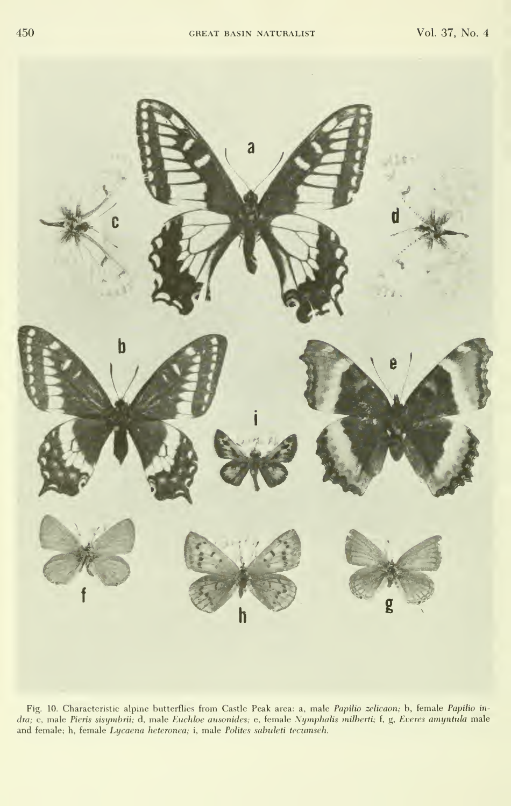

- Fig. 10. Characteristic alpine butterflies from Castle Peak area: a, male *Papilio zelicaon;* b, temale *Papilio in*<br>d*ra;* c, male *Pieris sisymbrii;* d, male *Euchloe ausonides;* e, female *Nymphalis milberti; f, g, Ev* and female; h, female Lycaena heteronea; i, male Polites sahtdeti tecumseh.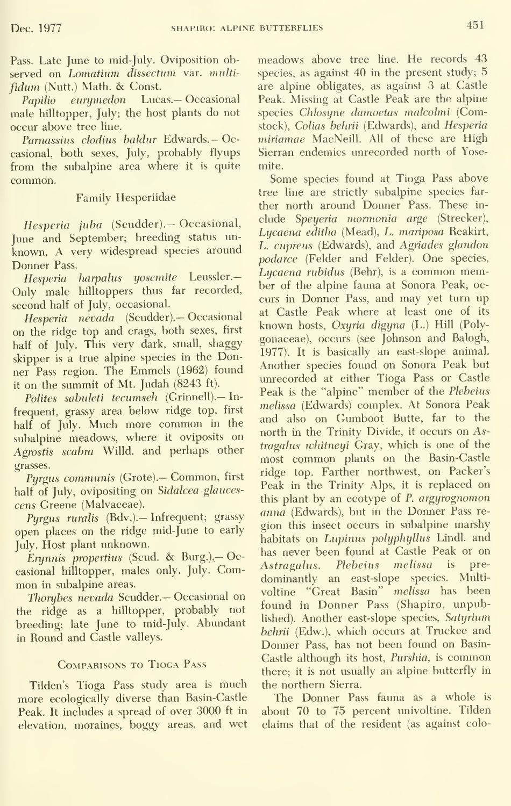Pass. Late June to mid-July. Oviposition observed on Lomatium dissectum var. multifidum (Nutt.) Math. & Const.

Papilio eurymedon Lucas.— Occasional male hilltopper, July; the host plants do not occur above tree line.

Parnassius clodius baldur Edwards.— Occasional, both sexes, July, probably flyups from the subalpine area where it is quite common.

### Family Hesperiidae

Hesperia juba (Scudder).- Occasional, June and September; breeding status un known. A very widespread species around Donner Pass.

Hesperia harpalus yosemite Leussler.-Only male hilltoppers thus far recorded, second half of July, occasional.

Hesperia nevada (Scudder).— Occasional on the ridge top and crags, both sexes, first half of July. This very dark, small, shaggy skipper is <sup>a</sup> true alpine species in the Donner Pass region. The Emmels (1962) found it on the summit of Mt. Judah (8243 ft).

Polites sabuleti tecumseh (Grinnell).- Infrequent, grassy area below ridge top, first half of July. Much more common in the subalpine meadows, where it oviposits on Agrostis scabra Willd. and perhaps other grasses.

Pyrgus communis (Grote).— Common, first half of July, ovipositing on Sidalcea glaucescens Greene (Malvaceae).

Purgus ruralis (Bdv.).— Infrequent; grassy open places on the ridge mid-June to early July. Host plant unknown.

Erynnis propertius (Scud. & Burg.). Occasional hilltopper, males only. July. Com mon in subalpine areas.

Thorybes nevada Scudder.— Occasional on the ridge as a hilltopper, probably not breeding; late June to mid-July. Abundant in Round and Castle valleys.

### Comparisons to Tioga Pass

Tilden's Tioga Pass study area is much more ecologically diverse than Basin-Castle Peak. It includes a spread of over 3000 ft in elevation, moraines, boggy areas, and wet

meadows above tree line. He records 43 species, as against 40 in the present study; 5 are alpine obligates, as against 3 at Castle Peak. Missing at Castle Peak are the alpine species Chlosyne damoetas malcolmi (Comstock), Colias behrii (Edwards), and Hesperia miriamae MacNeill. All of these are High Sierran endemics unrecorded north of Yosemite.

Some species found at Tioga Pass above tree line are strictly subalpine species far ther north around Donner Pass. These in clude Speyeria mormonia arge (Strecker), Lycaena editha (Mead), L. mariposa Reakirt, L. cupreus (Edwards), and Agriades glandon podarce (Felder and Felder). One species, Lycaena rubidus (Behr), is a common member of the alpine fauna at Sonora Peak, oc curs in Donner Pass, and may yet turn up at Castle Peak where at least one of its known hosts, Oxyria digyna (L.) Hill (Poly gonaceae), occurs (see Johnson and Balogh, 1977). It is basically an east-slope animal. Another species found on Sonora Peak but imrecorded at either Tioga Pass or Castle Peak is the "alpine" member of the Plebeius melissa (Edwards) complex. At Sonora Peak and also on Gumboot Butte, far to the north in the Trinity Divide, it occurs on Astragalus ivhitneyi Gray, which is one of the most common plants on the Basin-Castle ridge top. Farther northwest, on Packer's Peak in the Trinity Alps, it is replaced on this plant by an ecotype of P. argyrognomon anna (Edwards), but in the Donner Pass re gion this insect occurs in subalpine marshy habitats on Lupinus polyphyllus Lindl. and has never been found at Castle Peak or on<br>Astragalus Plebeius melissa is pre-Astragalus. Plebeius melissa is dominantly an east-slope species. Multivoltine "Great Basin" melissa has been found in Donner Pass (Shapiro, unpublished). Another east-slope species, Satyrium behrii (Edw.), which occurs at Truckee and Donner Pass, has not been found on Basin- Castle although its host, Purshia, is common there; it is not usually an alpine butterfly in the northern Sierra.

The Donner Pass fauna as a whole is about 70 to 75 percent univoltine. Tilden claims that of the resident (as against colo